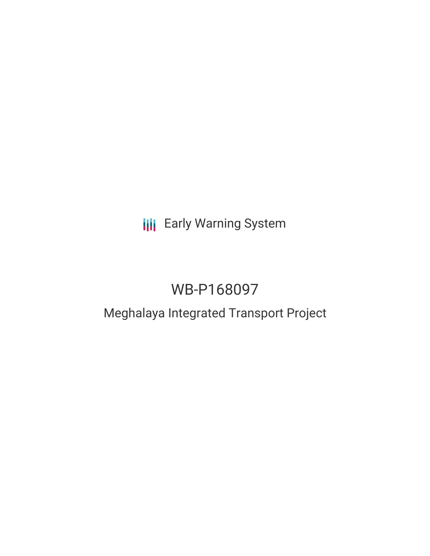# **III** Early Warning System

# WB-P168097

## Meghalaya Integrated Transport Project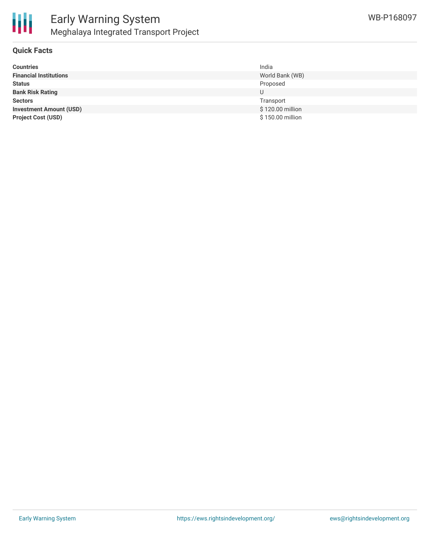

### **Quick Facts**

| <b>Countries</b>               | India            |
|--------------------------------|------------------|
| <b>Financial Institutions</b>  | World Bank (WB)  |
| <b>Status</b>                  | Proposed         |
| <b>Bank Risk Rating</b>        | U                |
| <b>Sectors</b>                 | Transport        |
| <b>Investment Amount (USD)</b> | \$120.00 million |
| <b>Project Cost (USD)</b>      | \$150.00 million |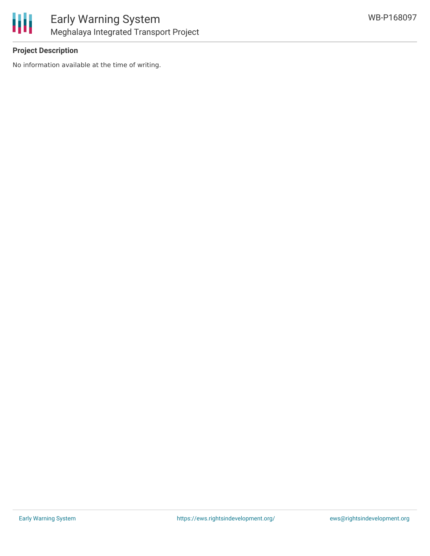

## **Project Description**

No information available at the time of writing.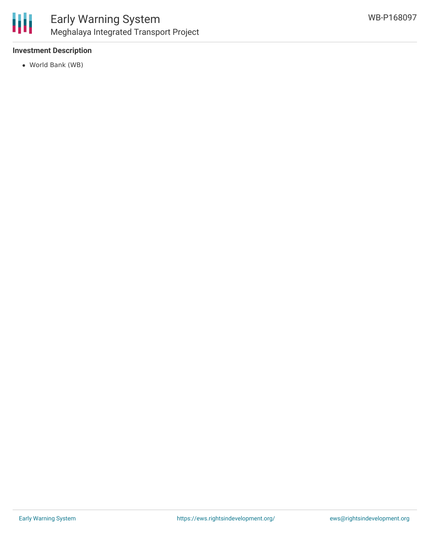

### **Investment Description**

World Bank (WB)